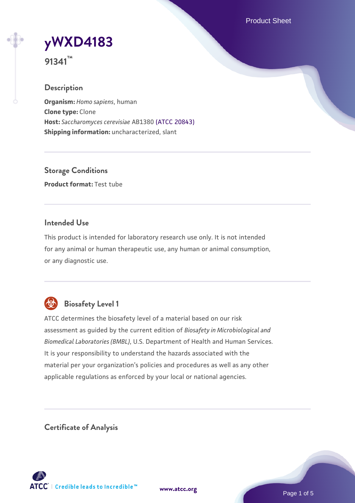Product Sheet



**91341™**

# **Description**

**Organism:** *Homo sapiens*, human **Clone type:** Clone **Host:** *Saccharomyces cerevisiae* AB1380 [\(ATCC 20843\)](https://www.atcc.org/products/20843) **Shipping information:** uncharacterized, slant

**Storage Conditions Product format:** Test tube

# **Intended Use**

This product is intended for laboratory research use only. It is not intended for any animal or human therapeutic use, any human or animal consumption, or any diagnostic use.



# **Biosafety Level 1**

ATCC determines the biosafety level of a material based on our risk assessment as guided by the current edition of *Biosafety in Microbiological and Biomedical Laboratories (BMBL)*, U.S. Department of Health and Human Services. It is your responsibility to understand the hazards associated with the material per your organization's policies and procedures as well as any other applicable regulations as enforced by your local or national agencies.

**Certificate of Analysis**

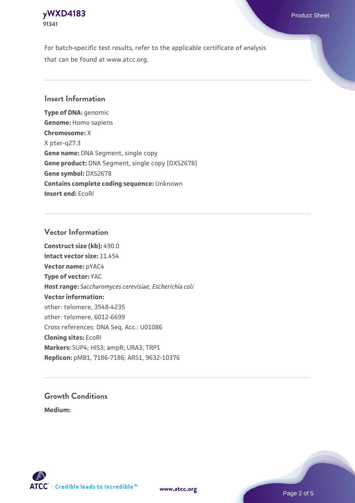## **[yWXD4183](https://www.atcc.org/products/91341)** Product Sheet **91341**

For batch-specific test results, refer to the applicable certificate of analysis that can be found at www.atcc.org.

## **Insert Information**

**Type of DNA:** genomic **Genome:** Homo sapiens **Chromosome:** X X pter-q27.3 **Gene name:** DNA Segment, single copy **Gene product:** DNA Segment, single copy [DXS2678] **Gene symbol:** DXS2678 **Contains complete coding sequence:** Unknown **Insert end:** EcoRI

## **Vector Information**

**Construct size (kb):** 490.0 **Intact vector size:** 11.454 **Vector name:** pYAC4 **Type of vector:** YAC **Host range:** *Saccharomyces cerevisiae*; *Escherichia coli* **Vector information:** other: telomere, 3548-4235 other: telomere, 6012-6699 Cross references: DNA Seq. Acc.: U01086 **Cloning sites:** EcoRI **Markers:** SUP4; HIS3; ampR; URA3; TRP1 **Replicon:** pMB1, 7186-7186; ARS1, 9632-10376

# **Growth Conditions**

**Medium:** 



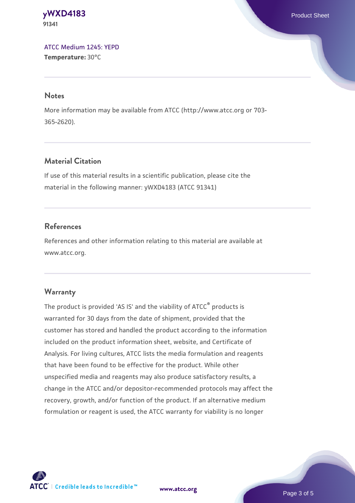#### **[yWXD4183](https://www.atcc.org/products/91341)** Product Sheet **91341**

[ATCC Medium 1245: YEPD](https://www.atcc.org/-/media/product-assets/documents/microbial-media-formulations/1/2/4/5/atcc-medium-1245.pdf?rev=705ca55d1b6f490a808a965d5c072196) **Temperature:** 30°C

#### **Notes**

More information may be available from ATCC (http://www.atcc.org or 703- 365-2620).

# **Material Citation**

If use of this material results in a scientific publication, please cite the material in the following manner: yWXD4183 (ATCC 91341)

# **References**

References and other information relating to this material are available at www.atcc.org.

# **Warranty**

The product is provided 'AS IS' and the viability of ATCC® products is warranted for 30 days from the date of shipment, provided that the customer has stored and handled the product according to the information included on the product information sheet, website, and Certificate of Analysis. For living cultures, ATCC lists the media formulation and reagents that have been found to be effective for the product. While other unspecified media and reagents may also produce satisfactory results, a change in the ATCC and/or depositor-recommended protocols may affect the recovery, growth, and/or function of the product. If an alternative medium formulation or reagent is used, the ATCC warranty for viability is no longer



**[www.atcc.org](http://www.atcc.org)**

Page 3 of 5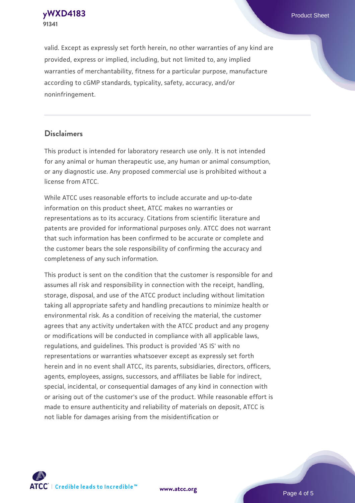**[yWXD4183](https://www.atcc.org/products/91341)** Product Sheet **91341**

valid. Except as expressly set forth herein, no other warranties of any kind are provided, express or implied, including, but not limited to, any implied warranties of merchantability, fitness for a particular purpose, manufacture according to cGMP standards, typicality, safety, accuracy, and/or noninfringement.

#### **Disclaimers**

This product is intended for laboratory research use only. It is not intended for any animal or human therapeutic use, any human or animal consumption, or any diagnostic use. Any proposed commercial use is prohibited without a license from ATCC.

While ATCC uses reasonable efforts to include accurate and up-to-date information on this product sheet, ATCC makes no warranties or representations as to its accuracy. Citations from scientific literature and patents are provided for informational purposes only. ATCC does not warrant that such information has been confirmed to be accurate or complete and the customer bears the sole responsibility of confirming the accuracy and completeness of any such information.

This product is sent on the condition that the customer is responsible for and assumes all risk and responsibility in connection with the receipt, handling, storage, disposal, and use of the ATCC product including without limitation taking all appropriate safety and handling precautions to minimize health or environmental risk. As a condition of receiving the material, the customer agrees that any activity undertaken with the ATCC product and any progeny or modifications will be conducted in compliance with all applicable laws, regulations, and guidelines. This product is provided 'AS IS' with no representations or warranties whatsoever except as expressly set forth herein and in no event shall ATCC, its parents, subsidiaries, directors, officers, agents, employees, assigns, successors, and affiliates be liable for indirect, special, incidental, or consequential damages of any kind in connection with or arising out of the customer's use of the product. While reasonable effort is made to ensure authenticity and reliability of materials on deposit, ATCC is not liable for damages arising from the misidentification or



**[www.atcc.org](http://www.atcc.org)**

Page 4 of 5